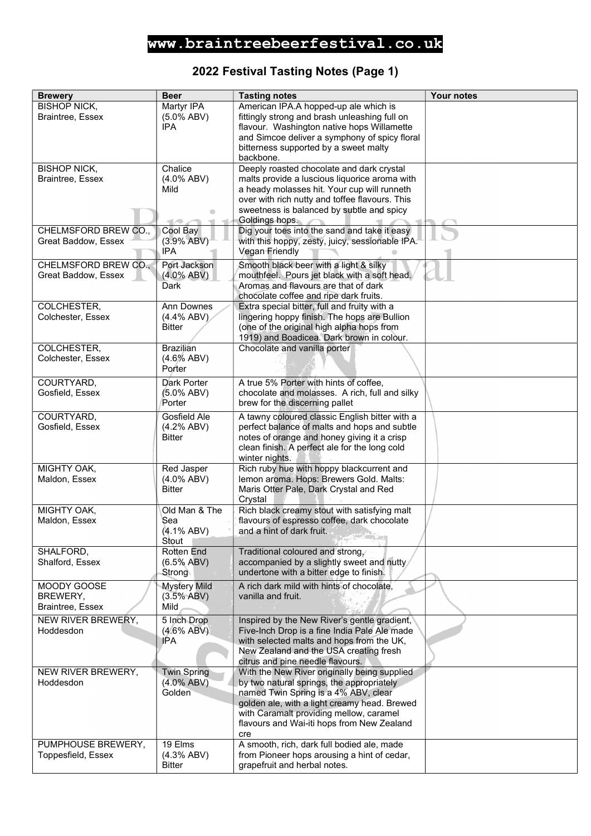# www.braintreebeerfestival.co.uk

### 2022 Festival Tasting Notes (Page 1)

| <b>Brewery</b>                              | <b>Beer</b>                               | <b>Tasting notes</b>                                                                   | Your notes |
|---------------------------------------------|-------------------------------------------|----------------------------------------------------------------------------------------|------------|
| <b>BISHOP NICK,</b>                         | Martyr IPA                                | American IPA.A hopped-up ale which is                                                  |            |
| Braintree, Essex                            | $(5.0\%$ ABV)                             | fittingly strong and brash unleashing full on                                          |            |
|                                             | <b>IPA</b>                                | flavour. Washington native hops Willamette                                             |            |
|                                             |                                           | and Simcoe deliver a symphony of spicy floral                                          |            |
|                                             |                                           | bitterness supported by a sweet malty                                                  |            |
|                                             |                                           | backbone.                                                                              |            |
| <b>BISHOP NICK,</b>                         | Chalice                                   | Deeply roasted chocolate and dark crystal                                              |            |
| Braintree, Essex                            | $(4.0\%$ ABV)                             | malts provide a luscious liquorice aroma with                                          |            |
|                                             | Mild                                      | a heady molasses hit. Your cup will runneth                                            |            |
|                                             |                                           | over with rich nutty and toffee flavours. This                                         |            |
|                                             |                                           | sweetness is balanced by subtle and spicy                                              |            |
| CHELMSFORD BREW CO.,                        | $\blacksquare$<br>$\sim$<br>↷<br>Cool Bay | Goldings hops.<br>Dig your toes into the sand and take it easy                         |            |
| Great Baddow, Essex                         | (3.9% ABV)                                | with this hoppy, zesty, juicy, sessionable IPA.                                        |            |
|                                             | IPA                                       | Vegan Friendly                                                                         |            |
|                                             |                                           |                                                                                        |            |
| CHELMSFORD BREW CO.,<br>Great Baddow, Essex | Port Jackson<br>$(4.0\%$ ABV)             | Smooth black beer with a light & silky<br>mouthfeel. Pours jet black with a soft head. |            |
|                                             | Dark                                      | Aromas and flavours are that of dark                                                   |            |
|                                             |                                           | chocolate coffee and ripe dark fruits.                                                 |            |
| COLCHESTER,                                 | <b>Ann Downes</b>                         | Extra special bitter, full and fruity with a                                           |            |
| Colchester, Essex                           | $(4.4\%$ ABV)                             | lingering hoppy finish. The hops are Bullion                                           |            |
|                                             | <b>Bitter</b>                             | (one of the original high alpha hops from                                              |            |
|                                             |                                           | 1919) and Boadicea. Dark brown in colour.                                              |            |
| COLCHESTER,                                 | <b>Brazilian</b>                          | Chocolate and vanilla porter                                                           |            |
| Colchester, Essex                           | $(4.6\%$ ABV)                             |                                                                                        |            |
|                                             | Porter                                    |                                                                                        |            |
| COURTYARD,                                  | Dark Porter                               | A true 5% Porter with hints of coffee,                                                 |            |
| Gosfield, Essex                             | (5.0% ABV)                                | chocolate and molasses. A rich, full and silky                                         |            |
|                                             | Porter                                    | brew for the discerning pallet                                                         |            |
| COURTYARD,                                  | Gosfield Ale                              | A tawny coloured classic English bitter with a                                         |            |
| Gosfield, Essex                             | (4.2% ABV)                                | perfect balance of malts and hops and subtle                                           |            |
|                                             | <b>Bitter</b>                             | notes of orange and honey giving it a crisp                                            |            |
|                                             |                                           | clean finish. A perfect ale for the long cold                                          |            |
|                                             |                                           | winter nights.                                                                         |            |
| MIGHTY OAK,                                 | Red Jasper                                | Rich ruby hue with hoppy blackcurrent and                                              |            |
| Maldon, Essex                               | $(4.0\%$ ABV)                             | lemon aroma. Hops: Brewers Gold. Malts:                                                |            |
|                                             | <b>Bitter</b>                             | Maris Otter Pale, Dark Crystal and Red                                                 |            |
| MIGHTY OAK,                                 | Old Man & The                             | Crystal<br>Rich black creamy stout with satisfying malt                                |            |
| Maldon, Essex                               | Sea                                       | flavours of espresso coffee, dark chocolate                                            |            |
|                                             | (4.1% ABV)                                | and a hint of dark fruit.                                                              |            |
|                                             | Stout                                     |                                                                                        |            |
| SHALFORD,                                   | Rotten End                                | Traditional coloured and strong,                                                       |            |
| Shalford, Essex                             | $(6.5\%$ ABV)                             | accompanied by a slightly sweet and nutty                                              |            |
|                                             | Strong                                    | undertone with a bitter edge to finish.                                                |            |
| MOODY GOOSE                                 | <b>Mystery Mild</b>                       | A rich dark mild with hints of chocolate,                                              |            |
| BREWERY,                                    | (3.5% ABV)                                | vanilla and fruit.                                                                     |            |
| Braintree, Essex                            | Mild                                      |                                                                                        |            |
| NEW RIVER BREWERY,                          | 5 Inch Drop                               | Inspired by the New River's gentle gradient,                                           |            |
| Hoddesdon                                   | $(4.6\%$ ABV)                             | Five-Inch Drop is a fine India Pale Ale made                                           |            |
|                                             | IPA                                       | with selected malts and hops from the UK,                                              |            |
|                                             |                                           | New Zealand and the USA creating fresh                                                 |            |
|                                             |                                           | citrus and pine needle flavours.                                                       |            |
| NEW RIVER BREWERY,                          | <b>Twin Spring</b>                        | With the New River originally being supplied                                           |            |
| Hoddesdon                                   | $(4.0\%$ ABV)                             | by two natural springs, the appropriately                                              |            |
|                                             | Golden                                    | named Twin Spring is a 4% ABV, clear<br>golden ale, with a light creamy head. Brewed   |            |
|                                             |                                           | with Caramalt providing mellow, caramel                                                |            |
|                                             |                                           | flavours and Wai-iti hops from New Zealand                                             |            |
|                                             |                                           | cre                                                                                    |            |
| PUMPHOUSE BREWERY,                          | 19 Elms                                   | A smooth, rich, dark full bodied ale, made                                             |            |
| Toppesfield, Essex                          | (4.3% ABV)                                | from Pioneer hops arousing a hint of cedar,                                            |            |
|                                             | <b>Bitter</b>                             | grapefruit and herbal notes.                                                           |            |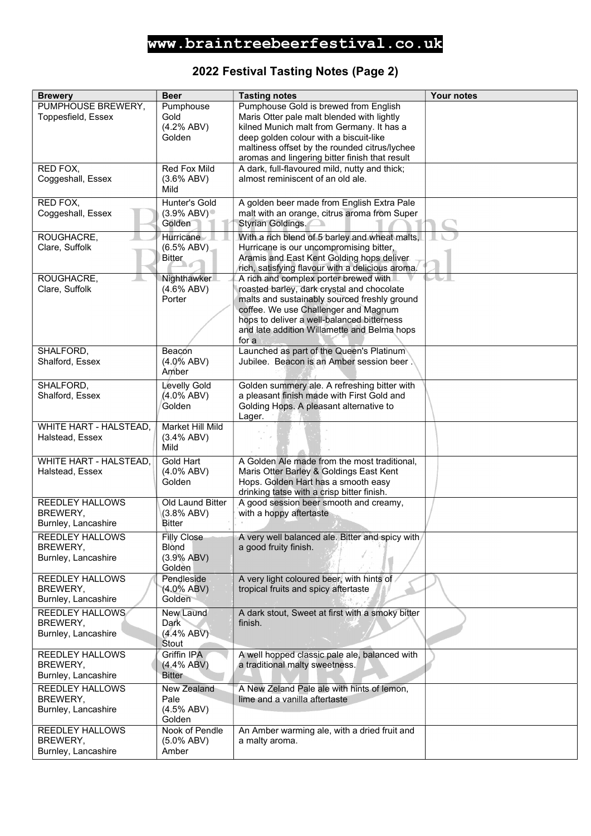# www.braintreebeerfestival.co.uk

### 2022 Festival Tasting Notes (Page 2)

| <b>Brewery</b>                | <b>Beer</b>                | <b>Tasting notes</b>                                                        | Your notes |
|-------------------------------|----------------------------|-----------------------------------------------------------------------------|------------|
| PUMPHOUSE BREWERY,            | Pumphouse                  | Pumphouse Gold is brewed from English                                       |            |
| Toppesfield, Essex            | Gold                       | Maris Otter pale malt blended with lightly                                  |            |
|                               | (4.2% ABV)                 | kilned Munich malt from Germany. It has a                                   |            |
|                               | Golden                     | deep golden colour with a biscuit-like                                      |            |
|                               |                            | maltiness offset by the rounded citrus/lychee                               |            |
|                               |                            | aromas and lingering bitter finish that result                              |            |
| RED FOX,                      | Red Fox Mild               | A dark, full-flavoured mild, nutty and thick;                               |            |
| Coggeshall, Essex             | $(3.6\%$ ABV)              | almost reminiscent of an old ale.                                           |            |
|                               | Mild                       |                                                                             |            |
| RED FOX.                      | <b>Hunter's Gold</b>       | A golden beer made from English Extra Pale                                  |            |
| Coggeshall, Essex             | $(3.9\%$ ABV)              | malt with an orange, citrus aroma from Super                                |            |
|                               | Golden                     | <b>Styrian Goldings.</b>                                                    |            |
| ROUGHACRE,                    | Hurricane                  | With a rich blend of 5 barley and wheat malts,                              |            |
| Clare, Suffolk                | $(6.5\%$ ABV)              | Hurricane is our uncompromising bitter,                                     |            |
|                               | <b>Bitter</b>              | Aramis and East Kent Golding hops deliver                                   |            |
|                               |                            | rich, satisfying flavour with a delicious aroma.                            |            |
| ROUGHACRE,                    | Nighthawker                | A rich and complex porter brewed with                                       |            |
| Clare, Suffolk                | $(4.6\%$ ABV)              | roasted barley, dark crystal and chocolate                                  |            |
|                               | Porter                     | malts and sustainably sourced freshly ground                                |            |
|                               |                            | coffee. We use Challenger and Magnum                                        |            |
|                               |                            | hops to deliver a well-balanced bitterness                                  |            |
|                               |                            | and late addition Willamette and Belma hops                                 |            |
|                               |                            | for a                                                                       |            |
| SHALFORD,                     | Beacon                     | Launched as part of the Queen's Platinum                                    |            |
| Shalford, Essex               | $(4.0\%$ ABV)              | Jubilee. Beacon is an Amber session beer.                                   |            |
|                               | Amber                      |                                                                             |            |
| SHALFORD,                     | <b>Levelly Gold</b>        | Golden summery ale. A refreshing bitter with                                |            |
| Shalford, Essex               | (4.0% ABV)                 | a pleasant finish made with First Gold and                                  |            |
|                               | Golden                     | Golding Hops. A pleasant alternative to                                     |            |
|                               |                            | Lager.                                                                      |            |
| <b>WHITE HART - HALSTEAD,</b> | Market Hill Mild           |                                                                             |            |
| Halstead, Essex               | (3.4% ABV)                 |                                                                             |            |
|                               | Mild                       |                                                                             |            |
| WHITE HART - HALSTEAD,        | <b>Gold Hart</b>           | A Golden Ale made from the most traditional,                                |            |
| Halstead, Essex               | $(4.0\%$ ABV)              | Maris Otter Barley & Goldings East Kent                                     |            |
|                               | Golden                     | Hops. Golden Hart has a smooth easy                                         |            |
|                               |                            | drinking tatse with a crisp bitter finish.                                  |            |
| <b>REEDLEY HALLOWS</b>        | Old Laund Bitter           | A good session beer smooth and creamy,                                      |            |
| BREWERY.                      | (3.8% ABV)                 | with a hoppy aftertaste                                                     |            |
| Burnley, Lancashire           | Bitter                     |                                                                             |            |
| REEDLEY HALLOWS               | Filly Close                | A very well balanced ale. Bitter and spicy with/                            |            |
| BREWERY,                      | <b>Blond</b>               | a good fruity finish.                                                       |            |
| Burnley, Lancashire           | (3.9% ABV)                 |                                                                             |            |
|                               | Golden                     |                                                                             |            |
| <b>REEDLEY HALLOWS</b>        | Pendleside                 | A very light coloured beer, with hints of                                   |            |
| BREWERY,                      | $(4.0\%$ ABV)<br>Golden    | tropical fruits and spicy aftertaste                                        |            |
| Burnley, Lancashire           |                            |                                                                             |            |
| REEDLEY HALLOWS               | New Laund                  | A dark stout, Sweet at first with a smoky bitter                            |            |
| BREWERY,                      | Dark                       | finish.                                                                     |            |
| Burnley, Lancashire           | $(4.4\% ABV)$<br>Stout     |                                                                             |            |
| REEDLEY HALLOWS               | Griffin IPA                | A well hopped classic pale ale, balanced with                               |            |
| BREWERY,                      | (4.4% ABV)                 | a traditional malty sweetness.                                              |            |
| Burnley, Lancashire           | <b>Bitter</b>              |                                                                             |            |
|                               |                            |                                                                             |            |
| REEDLEY HALLOWS<br>BREWERY,   | <b>New Zealand</b><br>Pale | A New Zeland Pale ale with hints of lemon,<br>lime and a vanilla aftertaste |            |
| Burnley, Lancashire           | $(4.5\%$ ABV)              |                                                                             |            |
|                               | Golden                     |                                                                             |            |
| REEDLEY HALLOWS               | Nook of Pendle             | An Amber warming ale, with a dried fruit and                                |            |
| BREWERY,                      | (5.0% ABV)                 | a malty aroma.                                                              |            |
| Burnley, Lancashire           | Amber                      |                                                                             |            |
|                               |                            |                                                                             |            |